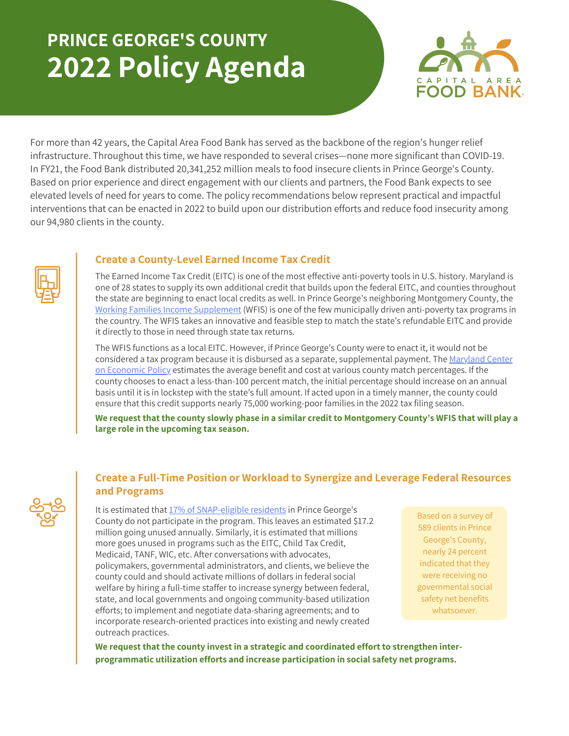## **PRINCE GEORGE'S COUNTY 2022 Policy Agenda**



For more than 42 years, the Capital Area Food Bank has served as the backbone of the region's hunger relief infrastructure. Throughout this time, we have responded to several crises—none more significant than COVID-19. In FY21, the Food Bank distributed 20,341,252 million meals to food insecure clients in Prince George's County. Based on prior experience and direct engagement with our clients and partners, the Food Bank expects to see elevated levels of need for years to come. The policy recommendations below represent practical and impactful interventions that can be enacted in 2022 to build upon our distribution efforts and reduce food insecurity among our 94,980 clients in the county.



## **Create a County-Level Earned Income Tax Credit**

The Earned Income Tax Credit (EITC) is one of the most effective anti-poverty tools in U.S. history. Maryland is one of 28 states to supply its own additional credit that builds upon the federal EITC, and counties throughout the state are beginning to enact local credits as well. In Prince George's neighboring Montgomery County, the Working Families Income [Supplement](https://www.montgomerycountymd.gov/Cashback/tax_credits.html#:~:text=Maryland%20EITC%20%2D%20The%20State%20of,file%20a%20Maryland%20Tax%20return) (WFIS) is one of the few municipally driven anti-poverty tax programs in the country. The WFIS takes an innovative and feasible step to match the state's refundable EITC and provide it directly to those in need through state tax returns.

The WFIS functions as a local EITC. However, if Prince George's County were to enact it, it would not be considered a tax program because it is disbursed as a separate, [supplemental](https://www.mdeconomy.org/policy-topics/budget-and-tax/) payment. The Maryland Center on Economic Policy estimates the average benefit and cost at various county match percentages. If the county chooses to enact a less-than-100 percent match, the initial percentage should increase on an annual basis until it is in lockstep with the state's full amount. If acted upon in a timely manner, the county could ensure that this credit supports nearly 75,000 working-poor families in the 2022 tax filing season.

We request that the county slowly phase in a similar credit to Montgomery County's WFIS that will play a **large role in the upcoming tax season.**

## **Create a Full-Time Position or Workload to Synergize and Leverage Federal Resources and Programs**

It is estimated that 17% of [SNAP-eligible](https://hunger-report.capitalareafoodbank.org/) residents in Prince George's County do not participate in the program. This leaves an estimated \$17.2 million going unused annually. Similarly, it is estimated that millions more goes unused in programs such as the EITC, Child Tax Credit, Medicaid, TANF, WIC, etc. After conversations with advocates, policymakers, governmental administrators, and clients, we believe the county could and should activate millions of dollars in federal social welfare by hiring a full-time staffer to increase synergy between federal, state, and local governments and ongoing community-based utilization efforts; to implement and negotiate data-sharing agreements; and to incorporate research-oriented practices into existing and newly created outreach practices.

Based on a survey of 589 clients in Prince George's County, nearly 24 percent indicated that they were receiving no governmental social safety net benefits whatsoever.

**We request that the county invest in a strategic and coordinated effort to strengthen interprogrammatic utilization efforts and increase participation in social safety net programs.**